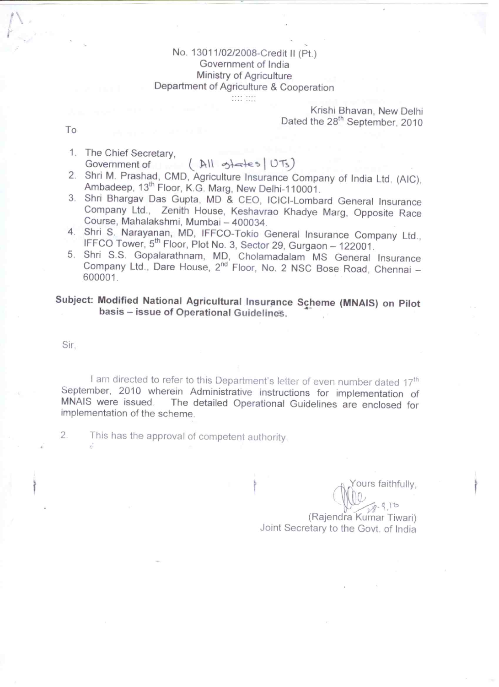# No. 13011/02/2008-Credit II (Pt.) Government of India Ministry of Agriculture Department of Agriculture & Cooperation

# Krishi Bhavan, New Delhi Dated the 28<sup>th</sup> September, 2010

To

- 1. The Chief Secretary.  $(M)$  gates  $UTs)$ Government of
- 2. Shri M. Prashad, CMD, Agriculture Insurance Company of India Ltd. (AIC), Ambadeep, 13<sup>th</sup> Floor, K.G. Marg, New Delhi-110001.
- 3. Shri Bhargav Das Gupta, MD & CEO, ICICI-Lombard General Insurance Company Ltd., Zenith House, Keshavrao Khadye Marg, Opposite Race Course, Mahalakshmi, Mumbai - 400034.
- 4. Shri S. Narayanan, MD, IFFCO-Tokio General Insurance Company Ltd., IFFCO Tower, 5<sup>th</sup> Floor, Plot No. 3, Sector 29, Gurgaon - 122001.
- 5. Shri S.S. Gopalarathnam, MD, Cholamadalam MS General Insurance<br>Company Ltd., Dare House, 2<sup>nd</sup> Floor, No. 2 NSC Bose Road, Chennai 600001.

# Subject: Modified National Agricultural Insurance Scheme (MNAIS) on Pilot basis - issue of Operational Guidelines.

Sir.

I am directed to refer to this Department's letter of even number dated 17<sup>th</sup> September, 2010 wherein Administrative instructions for implementation of The detailed Operational Guidelines are enclosed for MNAIS were issued. implementation of the scheme.

 $\overline{2}$ This has the approval of competent authority.

ours faithfully,

 $910$ (Rajendra Kumar Tiwari) Joint Secretary to the Govt. of India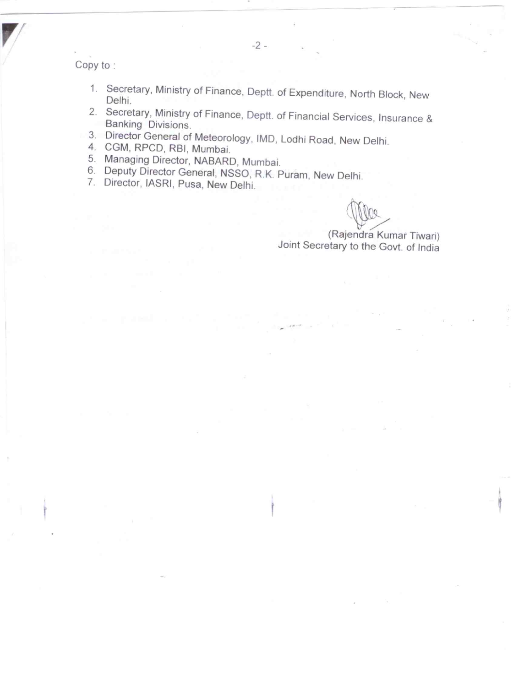Copy to:

- 1. Secretary, Ministry of Finance, Deptt. of Expenditure, North Block, New Delhi.
- 2. Secretary, Ministry of Finance, Deptt. of Financial Services, Insurance & Banking Divisions.
- 3. Director General of Meteorology, IMD, Lodhi Road, New Delhi.
- 4. CGM, RPCD, RBI, Mumbai.
- 5. Managing Director, NABARD, Mumbai.
- 6. Deputy Director General, NSSO, R.K. Puram, New Delhi.
- 7. Director, IASRI, Pusa, New Delhi.

(Rajendra Kumar Tiwari) Joint Secretary to the Govt. of India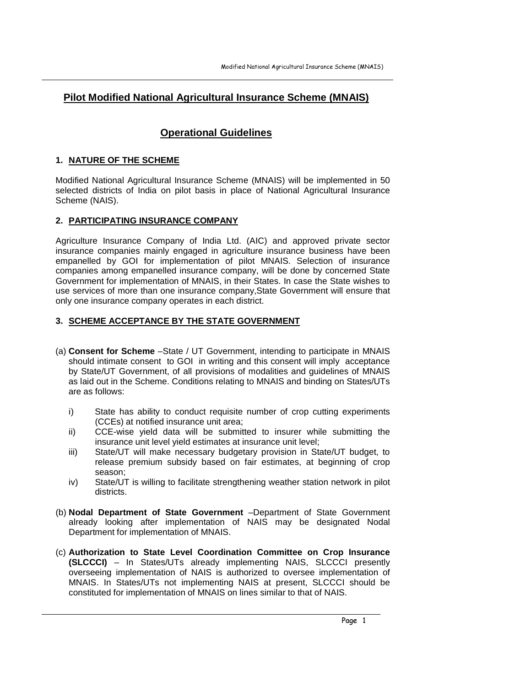# **Pilot Modified National Agricultural Insurance Scheme (MNAIS)**

# **Operational Guidelines**

# **1. NATURE OF THE SCHEME**

Modified National Agricultural Insurance Scheme (MNAIS) will be implemented in 50 selected districts of India on pilot basis in place of National Agricultural Insurance Scheme (NAIS).

# **2. PARTICIPATING INSURANCE COMPANY**

Agriculture Insurance Company of India Ltd. (AIC) and approved private sector insurance companies mainly engaged in agriculture insurance business have been empanelled by GOI for implementation of pilot MNAIS. Selection of insurance companies among empanelled insurance company, will be done by concerned State Government for implementation of MNAIS, in their States. In case the State wishes to use services of more than one insurance company,State Government will ensure that only one insurance company operates in each district.

# **3. SCHEME ACCEPTANCE BY THE STATE GOVERNMENT**

- (a) **Consent for Scheme** –State / UT Government, intending to participate in MNAIS should intimate consent to GOI in writing and this consent will imply acceptance by State/UT Government, of all provisions of modalities and guidelines of MNAIS as laid out in the Scheme. Conditions relating to MNAIS and binding on States/UTs are as follows:
	- i) State has ability to conduct requisite number of crop cutting experiments (CCEs) at notified insurance unit area;
	- ii) CCE-wise yield data will be submitted to insurer while submitting the insurance unit level yield estimates at insurance unit level;
	- iii) State/UT will make necessary budgetary provision in State/UT budget, to release premium subsidy based on fair estimates, at beginning of crop season;
	- iv) State/UT is willing to facilitate strengthening weather station network in pilot districts.
- (b) **Nodal Department of State Government** –Department of State Government already looking after implementation of NAIS may be designated Nodal Department for implementation of MNAIS.
- (c) **Authorization to State Level Coordination Committee on Crop Insurance (SLCCCI)** – In States/UTs already implementing NAIS, SLCCCI presently overseeing implementation of NAIS is authorized to oversee implementation of MNAIS. In States/UTs not implementing NAIS at present, SLCCCI should be constituted for implementation of MNAIS on lines similar to that of NAIS.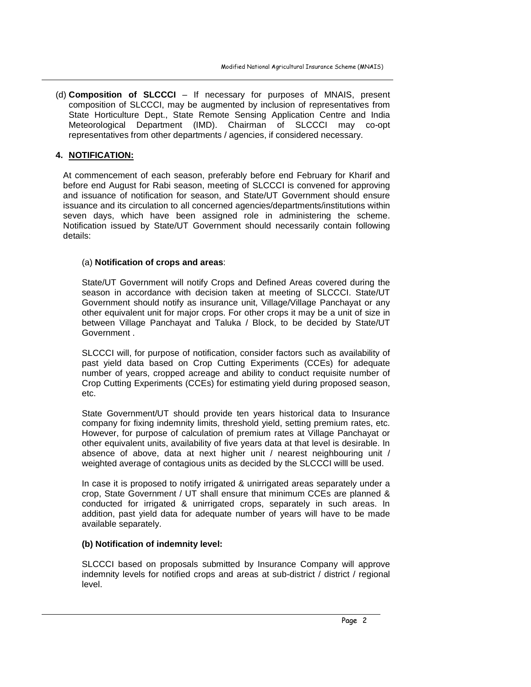(d) **Composition of SLCCCI** – If necessary for purposes of MNAIS, present composition of SLCCCI, may be augmented by inclusion of representatives from State Horticulture Dept., State Remote Sensing Application Centre and India Meteorological Department (IMD). Chairman of SLCCCI may co-opt representatives from other departments / agencies, if considered necessary.

# **4. NOTIFICATION:**

At commencement of each season, preferably before end February for Kharif and before end August for Rabi season, meeting of SLCCCI is convened for approving and issuance of notification for season, and State/UT Government should ensure issuance and its circulation to all concerned agencies/departments/institutions within seven days, which have been assigned role in administering the scheme. Notification issued by State/UT Government should necessarily contain following details:

#### (a) **Notification of crops and areas**:

State/UT Government will notify Crops and Defined Areas covered during the season in accordance with decision taken at meeting of SLCCCI. State/UT Government should notify as insurance unit, Village/Village Panchayat or any other equivalent unit for major crops. For other crops it may be a unit of size in between Village Panchayat and Taluka / Block, to be decided by State/UT Government

SLCCCI will, for purpose of notification, consider factors such as availability of past yield data based on Crop Cutting Experiments (CCEs) for adequate number of years, cropped acreage and ability to conduct requisite number of Crop Cutting Experiments (CCEs) for estimating yield during proposed season, etc.

State Government/UT should provide ten years historical data to Insurance company for fixing indemnity limits, threshold yield, setting premium rates, etc. However, for purpose of calculation of premium rates at Village Panchayat or other equivalent units, availability of five years data at that level is desirable. In absence of above, data at next higher unit / nearest neighbouring unit / weighted average of contagious units as decided by the SLCCCI willl be used.

In case it is proposed to notify irrigated & unirrigated areas separately under a crop, State Government / UT shall ensure that minimum CCEs are planned & conducted for irrigated & unirrigated crops, separately in such areas. In addition, past yield data for adequate number of years will have to be made available separately.

# **(b) Notification of indemnity level:**

SLCCCI based on proposals submitted by Insurance Company will approve indemnity levels for notified crops and areas at sub-district / district / regional level.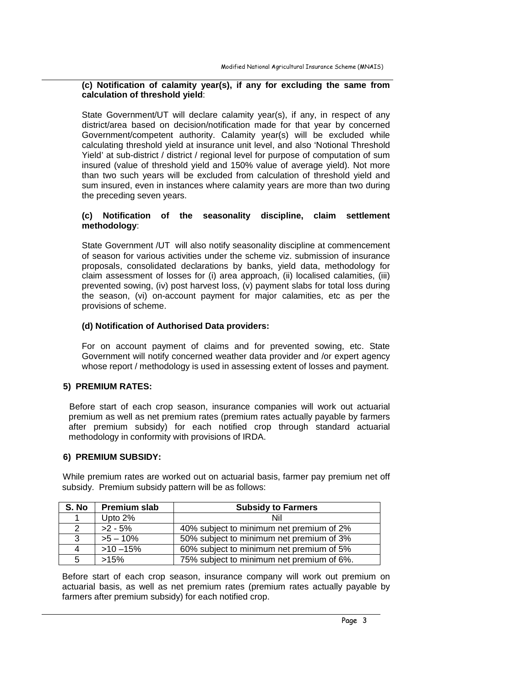#### **(c) Notification of calamity year(s), if any for excluding the same from calculation of threshold yield**:

State Government/UT will declare calamity year(s), if any, in respect of any district/area based on decision/notification made for that year by concerned Government/competent authority. Calamity year(s) will be excluded while calculating threshold yield at insurance unit level, and also 'Notional Threshold Yield' at sub-district / district / regional level for purpose of computation of sum insured (value of threshold yield and 150% value of average yield). Not more than two such years will be excluded from calculation of threshold yield and sum insured, even in instances where calamity years are more than two during the preceding seven years.

# **(c) Notification of the seasonality discipline, claim settlement methodology**:

State Government /UT will also notify seasonality discipline at commencement of season for various activities under the scheme viz. submission of insurance proposals, consolidated declarations by banks, yield data, methodology for claim assessment of losses for (i) area approach, (ii) localised calamities, (iii) prevented sowing, (iv) post harvest loss, (v) payment slabs for total loss during the season, (vi) on-account payment for major calamities, etc as per the provisions of scheme.

# **(d) Notification of Authorised Data providers:**

For on account payment of claims and for prevented sowing, etc. State Government will notify concerned weather data provider and /or expert agency whose report / methodology is used in assessing extent of losses and payment.

# **5) PREMIUM RATES:**

Before start of each crop season, insurance companies will work out actuarial premium as well as net premium rates (premium rates actually payable by farmers after premium subsidy) for each notified crop through standard actuarial methodology in conformity with provisions of IRDA.

# **6) PREMIUM SUBSIDY:**

While premium rates are worked out on actuarial basis, farmer pay premium net off subsidy. Premium subsidy pattern will be as follows:

| S. No | Premium slab | <b>Subsidy to Farmers</b>                 |  |  |
|-------|--------------|-------------------------------------------|--|--|
|       | Upto 2%      | Nil                                       |  |  |
| 2     | $>2 - 5%$    | 40% subject to minimum net premium of 2%  |  |  |
| 3     | $>5 - 10\%$  | 50% subject to minimum net premium of 3%  |  |  |
| 4     | $>10 - 15%$  | 60% subject to minimum net premium of 5%  |  |  |
| 5     | >15%         | 75% subject to minimum net premium of 6%. |  |  |

Before start of each crop season, insurance company will work out premium on actuarial basis, as well as net premium rates (premium rates actually payable by farmers after premium subsidy) for each notified crop.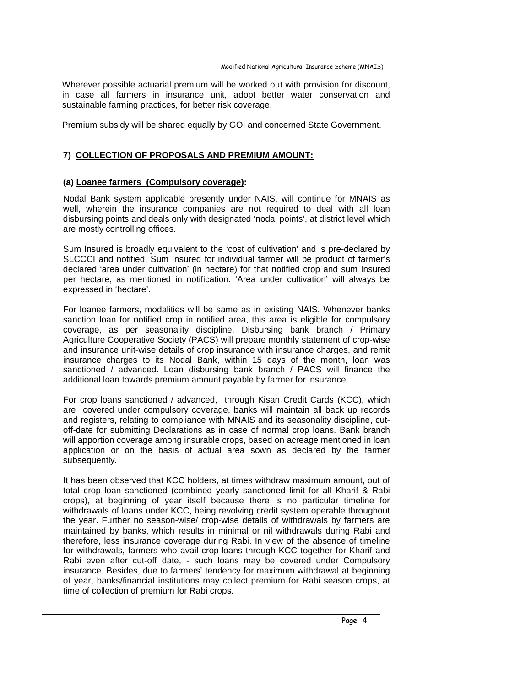Wherever possible actuarial premium will be worked out with provision for discount, in case all farmers in insurance unit, adopt better water conservation and sustainable farming practices, for better risk coverage.

Premium subsidy will be shared equally by GOI and concerned State Government.

# **7) COLLECTION OF PROPOSALS AND PREMIUM AMOUNT:**

# **(a) Loanee farmers (Compulsory coverage):**

Nodal Bank system applicable presently under NAIS, will continue for MNAIS as well, wherein the insurance companies are not required to deal with all loan disbursing points and deals only with designated 'nodal points', at district level which are mostly controlling offices.

Sum Insured is broadly equivalent to the 'cost of cultivation' and is pre-declared by SLCCCI and notified. Sum Insured for individual farmer will be product of farmer's declared 'area under cultivation' (in hectare) for that notified crop and sum Insured per hectare, as mentioned in notification. 'Area under cultivation' will always be expressed in 'hectare'.

For loanee farmers, modalities will be same as in existing NAIS. Whenever banks sanction loan for notified crop in notified area, this area is eligible for compulsory coverage, as per seasonality discipline. Disbursing bank branch / Primary Agriculture Cooperative Society (PACS) will prepare monthly statement of crop-wise and insurance unit-wise details of crop insurance with insurance charges, and remit insurance charges to its Nodal Bank, within 15 days of the month, loan was sanctioned / advanced. Loan disbursing bank branch / PACS will finance the additional loan towards premium amount payable by farmer for insurance.

For crop loans sanctioned / advanced, through Kisan Credit Cards (KCC), which are covered under compulsory coverage, banks will maintain all back up records and registers, relating to compliance with MNAIS and its seasonality discipline, cutoff-date for submitting Declarations as in case of normal crop loans. Bank branch will apportion coverage among insurable crops, based on acreage mentioned in loan application or on the basis of actual area sown as declared by the farmer subsequently.

It has been observed that KCC holders, at times withdraw maximum amount, out of total crop loan sanctioned (combined yearly sanctioned limit for all Kharif & Rabi crops), at beginning of year itself because there is no particular timeline for withdrawals of loans under KCC, being revolving credit system operable throughout the year. Further no season-wise/ crop-wise details of withdrawals by farmers are maintained by banks, which results in minimal or nil withdrawals during Rabi and therefore, less insurance coverage during Rabi. In view of the absence of timeline for withdrawals, farmers who avail crop-loans through KCC together for Kharif and Rabi even after cut-off date, - such loans may be covered under Compulsory insurance. Besides, due to farmers' tendency for maximum withdrawal at beginning of year, banks/financial institutions may collect premium for Rabi season crops, at time of collection of premium for Rabi crops.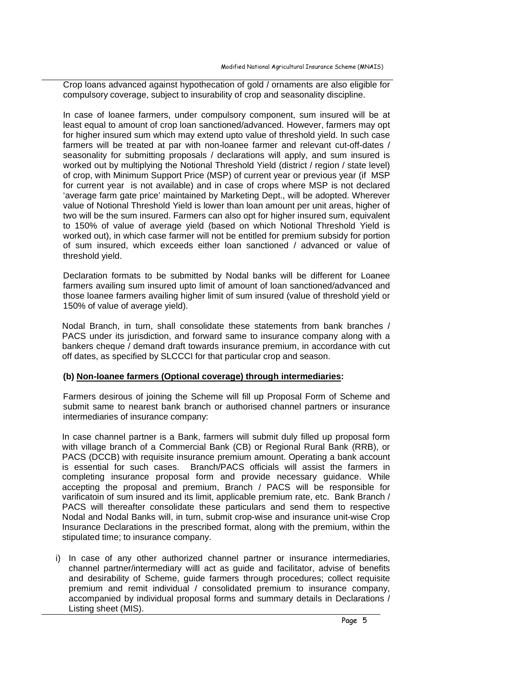Crop loans advanced against hypothecation of gold / ornaments are also eligible for compulsory coverage, subject to insurability of crop and seasonality discipline.

In case of loanee farmers, under compulsory component, sum insured will be at least equal to amount of crop loan sanctioned/advanced. However, farmers may opt for higher insured sum which may extend upto value of threshold yield. In such case farmers will be treated at par with non-loanee farmer and relevant cut-off-dates / seasonality for submitting proposals / declarations will apply, and sum insured is worked out by multiplying the Notional Threshold Yield (district / region / state level) of crop, with Minimum Support Price (MSP) of current year or previous year (if MSP for current year is not available) and in case of crops where MSP is not declared 'average farm gate price' maintained by Marketing Dept., will be adopted. Wherever value of Notional Threshold Yield is lower than loan amount per unit areas, higher of two will be the sum insured. Farmers can also opt for higher insured sum, equivalent to 150% of value of average yield (based on which Notional Threshold Yield is worked out), in which case farmer will not be entitled for premium subsidy for portion of sum insured, which exceeds either loan sanctioned / advanced or value of threshold yield.

Declaration formats to be submitted by Nodal banks will be different for Loanee farmers availing sum insured upto limit of amount of loan sanctioned/advanced and those loanee farmers availing higher limit of sum insured (value of threshold yield or 150% of value of average yield).

Nodal Branch, in turn, shall consolidate these statements from bank branches / PACS under its jurisdiction, and forward same to insurance company along with a bankers cheque / demand draft towards insurance premium, in accordance with cut off dates, as specified by SLCCCI for that particular crop and season.

# **(b) Non-loanee farmers (Optional coverage) through intermediaries:**

Farmers desirous of joining the Scheme will fill up Proposal Form of Scheme and submit same to nearest bank branch or authorised channel partners or insurance intermediaries of insurance company:

In case channel partner is a Bank, farmers will submit duly filled up proposal form with village branch of a Commercial Bank (CB) or Regional Rural Bank (RRB), or PACS (DCCB) with requisite insurance premium amount. Operating a bank account is essential for such cases. Branch/PACS officials will assist the farmers in completing insurance proposal form and provide necessary guidance. While accepting the proposal and premium, Branch / PACS will be responsible for varificatoin of sum insured and its limit, applicable premium rate, etc. Bank Branch / PACS will thereafter consolidate these particulars and send them to respective Nodal and Nodal Banks will, in turn, submit crop-wise and insurance unit-wise Crop Insurance Declarations in the prescribed format, along with the premium, within the stipulated time; to insurance company.

i) In case of any other authorized channel partner or insurance intermediaries, channel partner/intermediary willl act as guide and facilitator, advise of benefits and desirability of Scheme, guide farmers through procedures; collect requisite premium and remit individual / consolidated premium to insurance company, accompanied by individual proposal forms and summary details in Declarations / Listing sheet (MIS).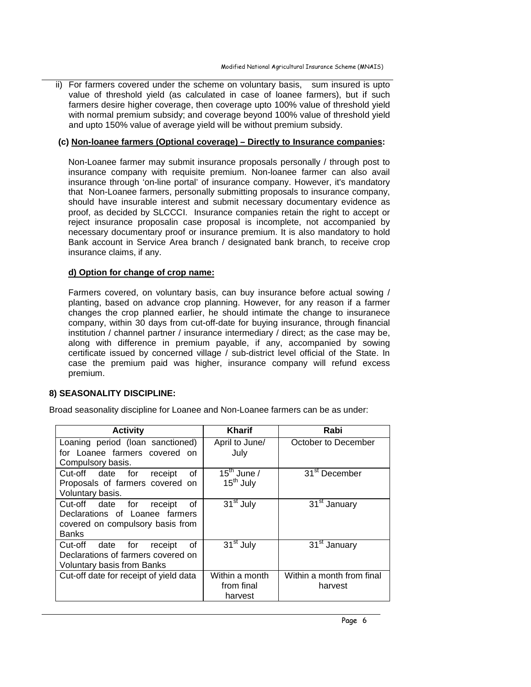ii) For farmers covered under the scheme on voluntary basis, sum insured is upto value of threshold yield (as calculated in case of loanee farmers), but if such farmers desire higher coverage, then coverage upto 100% value of threshold yield with normal premium subsidy; and coverage beyond 100% value of threshold yield and upto 150% value of average yield will be without premium subsidy.

#### **(c) Non-loanee farmers (Optional coverage) – Directly to Insurance companies:**

Non-Loanee farmer may submit insurance proposals personally / through post to insurance company with requisite premium. Non-loanee farmer can also avail insurance through 'on-line portal' of insurance company. However, it's mandatory that Non-Loanee farmers, personally submitting proposals to insurance company, should have insurable interest and submit necessary documentary evidence as proof, as decided by SLCCCI. Insurance companies retain the right to accept or reject insurance proposalin case proposal is incomplete, not accompanied by necessary documentary proof or insurance premium. It is also mandatory to hold Bank account in Service Area branch / designated bank branch, to receive crop insurance claims, if any.

#### **d) Option for change of crop name:**

Farmers covered, on voluntary basis, can buy insurance before actual sowing / planting, based on advance crop planning. However, for any reason if a farmer changes the crop planned earlier, he should intimate the change to insuranece company, within 30 days from cut-off-date for buying insurance, through financial institution / channel partner / insurance intermediary / direct; as the case may be, along with difference in premium payable, if any, accompanied by sowing certificate issued by concerned village / sub-district level official of the State. In case the premium paid was higher, insurance company will refund excess premium.

# **8) SEASONALITY DISCIPLINE:**

Broad seasonality discipline for Loanee and Non-Loanee farmers can be as under:

| <b>Activity</b>                         | <b>Kharif</b>           | Rabi                                  |
|-----------------------------------------|-------------------------|---------------------------------------|
| Loaning period (loan sanctioned)        | April to June/          | October to December                   |
| for Loanee farmers covered on           | July                    |                                       |
| Compulsory basis.                       |                         |                                       |
| Cut-off date for<br>0f<br>receipt       | 15 <sup>th</sup> June / | 31 <sup>st</sup> December             |
| Proposals of farmers covered on         | 15 <sup>th</sup> July   |                                       |
| Voluntary basis.                        |                         |                                       |
| Cut-off date for<br>0f<br>receipt       | 31 <sup>st</sup> July   | $\overline{31}$ <sup>st</sup> January |
| Declarations of Loanee farmers          |                         |                                       |
| covered on compulsory basis from        |                         |                                       |
| <b>Banks</b>                            |                         |                                       |
| Cut-off<br>0f<br>date<br>for<br>receipt | $31st$ July             | 31 <sup>st</sup> January              |
| Declarations of farmers covered on      |                         |                                       |
| <b>Voluntary basis from Banks</b>       |                         |                                       |
| Cut-off date for receipt of yield data  | Within a month          | Within a month from final             |
|                                         | from final              | harvest                               |
|                                         | harvest                 |                                       |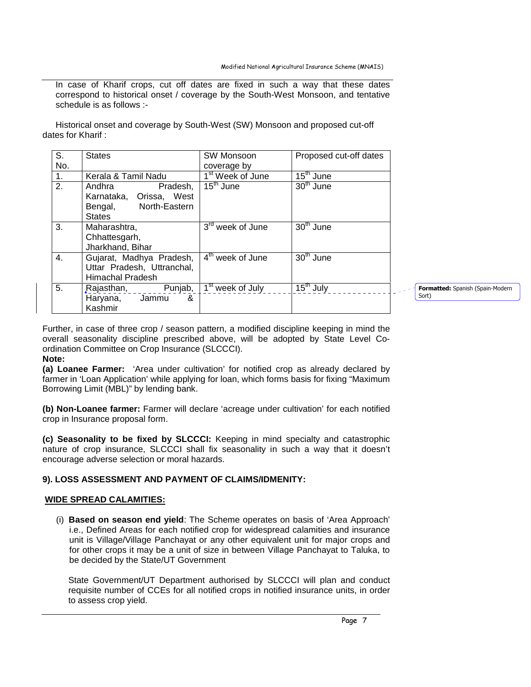In case of Kharif crops, cut off dates are fixed in such a way that these dates correspond to historical onset / coverage by the South-West Monsoon, and tentative schedule is as follows :-

Historical onset and coverage by South-West (SW) Monsoon and proposed cut-off dates for Kharif :

| S.  | <b>States</b>              | SW Monsoon                     | Proposed cut-off dates           |  |
|-----|----------------------------|--------------------------------|----------------------------------|--|
| No. |                            | coverage by                    |                                  |  |
| 1.  | Kerala & Tamil Nadu        | 1 <sup>st</sup> Week of June   | $15th$ June                      |  |
| 2.  | Pradesh,<br>Andhra         | $15^{\text{th}}$ June          | $30th$ June                      |  |
|     | Karnataka, Orissa, West    |                                |                                  |  |
|     | Bengal, North-Eastern      |                                |                                  |  |
|     | <b>States</b>              |                                |                                  |  |
| 3.  | Maharashtra,               | 3 <sup>rd</sup> week of June   | $30th$ June                      |  |
|     | Chhattesgarh,              |                                |                                  |  |
|     | Jharkhand, Bihar           |                                |                                  |  |
| 4.  | Gujarat, Madhya Pradesh,   | 4 <sup>th</sup> week of June   | 30 <sup>th</sup> June            |  |
|     | Uttar Pradesh, Uttranchal, |                                |                                  |  |
|     | <b>Himachal Pradesh</b>    |                                |                                  |  |
| 5.  | Rajasthan, Punjab,         | l 1 <sup>st</sup> week of July | $\overline{15}^{\text{th}}$ July |  |
|     | Haryana, Jammu<br>&        |                                |                                  |  |
|     | Kashmir                    |                                |                                  |  |

Formatted: Spanish (Spain-Modern Sort)

Further, in case of three crop / season pattern, a modified discipline keeping in mind the overall seasonality discipline prescribed above, will be adopted by State Level Coordination Committee on Crop Insurance (SLCCCI).

# **Note:**

**(a) Loanee Farmer:** 'Area under cultivation' for notified crop as already declared by farmer in 'Loan Application' while applying for loan, which forms basis for fixing "Maximum Borrowing Limit (MBL)" by lending bank.

**(b) Non-Loanee farmer:** Farmer will declare 'acreage under cultivation' for each notified crop in Insurance proposal form.

**(c) Seasonality to be fixed by SLCCCI:** Keeping in mind specialty and catastrophic nature of crop insurance, SLCCCI shall fix seasonality in such a way that it doesn't encourage adverse selection or moral hazards.

# **9). LOSS ASSESSMENT AND PAYMENT OF CLAIMS/IDMENITY:**

#### **WIDE SPREAD CALAMITIES:**

(i) **Based on season end yield**: The Scheme operates on basis of 'Area Approach' i.e., Defined Areas for each notified crop for widespread calamities and insurance unit is Village/Village Panchayat or any other equivalent unit for major crops and for other crops it may be a unit of size in between Village Panchayat to Taluka, to be decided by the State/UT Government

State Government/UT Department authorised by SLCCCI will plan and conduct requisite number of CCEs for all notified crops in notified insurance units, in order to assess crop yield.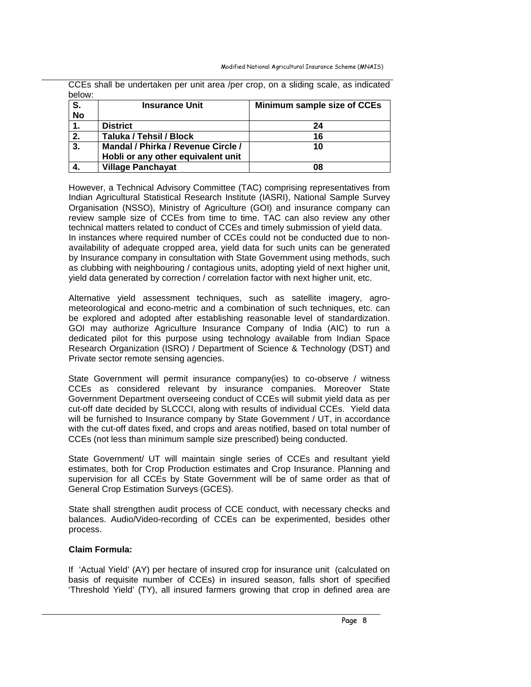| below:    | <u>o o monitor dindontalioni por dint diodi ipor oropi on a onding occio; do marcatod</u> |                             |  |  |  |
|-----------|-------------------------------------------------------------------------------------------|-----------------------------|--|--|--|
| S.        | <b>Insurance Unit</b>                                                                     | Minimum sample size of CCEs |  |  |  |
| <b>No</b> |                                                                                           |                             |  |  |  |
| 1.        | <b>District</b>                                                                           | 24                          |  |  |  |
| 2.        | Taluka / Tehsil / Block                                                                   | 16                          |  |  |  |
| 3.        | Mandal / Phirka / Revenue Circle /                                                        | 10                          |  |  |  |
|           | Hobli or any other equivalent unit                                                        |                             |  |  |  |
| 4.        | <b>Village Panchayat</b>                                                                  | 08                          |  |  |  |

CCEs shall be undertaken per unit area /per crop, on a sliding scale, as indicated

However, a Technical Advisory Committee (TAC) comprising representatives from Indian Agricultural Statistical Research Institute (IASRI), National Sample Survey Organisation (NSSO), Ministry of Agriculture (GOI) and insurance company can review sample size of CCEs from time to time. TAC can also review any other technical matters related to conduct of CCEs and timely submission of yield data. In instances where required number of CCEs could not be conducted due to nonavailability of adequate cropped area, yield data for such units can be generated by Insurance company in consultation with State Government using methods, such as clubbing with neighbouring / contagious units, adopting yield of next higher unit, yield data generated by correction / correlation factor with next higher unit, etc.

Alternative yield assessment techniques, such as satellite imagery, agrometeorological and econo-metric and a combination of such techniques, etc. can be explored and adopted after establishing reasonable level of standardization. GOI may authorize Agriculture Insurance Company of India (AIC) to run a dedicated pilot for this purpose using technology available from Indian Space Research Organization (ISRO) / Department of Science & Technology (DST) and Private sector remote sensing agencies.

State Government will permit insurance company(ies) to co-observe / witness CCEs as considered relevant by insurance companies. Moreover State Government Department overseeing conduct of CCEs will submit yield data as per cut-off date decided by SLCCCI, along with results of individual CCEs. Yield data will be furnished to Insurance company by State Government / UT, in accordance with the cut-off dates fixed, and crops and areas notified, based on total number of CCEs (not less than minimum sample size prescribed) being conducted.

State Government/ UT will maintain single series of CCEs and resultant yield estimates, both for Crop Production estimates and Crop Insurance. Planning and supervision for all CCEs by State Government will be of same order as that of General Crop Estimation Surveys (GCES).

State shall strengthen audit process of CCE conduct, with necessary checks and balances. Audio/Video-recording of CCEs can be experimented, besides other process.

# **Claim Formula:**

If 'Actual Yield' (AY) per hectare of insured crop for insurance unit (calculated on basis of requisite number of CCEs) in insured season, falls short of specified 'Threshold Yield' (TY), all insured farmers growing that crop in defined area are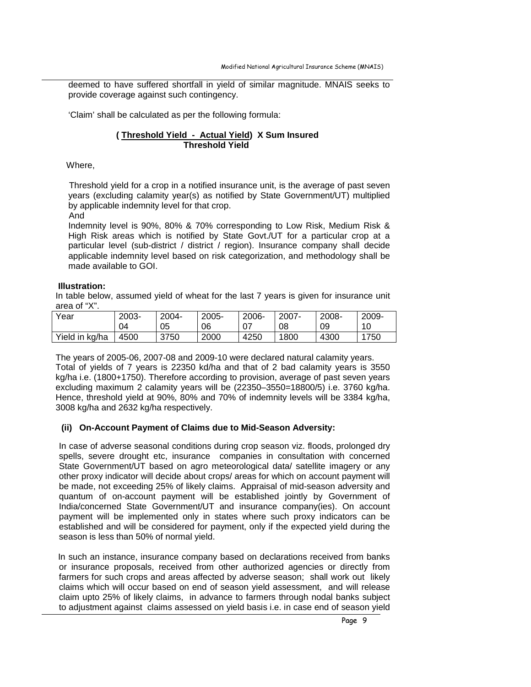deemed to have suffered shortfall in yield of similar magnitude. MNAIS seeks to provide coverage against such contingency.

'Claim' shall be calculated as per the following formula:

# **( Threshold Yield - Actual Yield) X Sum Insured Threshold Yield**

Where,

 Threshold yield for a crop in a notified insurance unit, is the average of past seven years (excluding calamity year(s) as notified by State Government/UT) multiplied by applicable indemnity level for that crop.

And

Indemnity level is 90%, 80% & 70% corresponding to Low Risk, Medium Risk & High Risk areas which is notified by State Govt./UT for a particular crop at a particular level (sub-district / district / region). Insurance company shall decide applicable indemnity level based on risk categorization, and methodology shall be made available to GOI.

#### **Illustration:**

In table below, assumed yield of wheat for the last 7 years is given for insurance unit area of "X".

| Year           | 2003- | 2004- | 2005- | 2006- | 2007- | 2008- | 2009- |
|----------------|-------|-------|-------|-------|-------|-------|-------|
|                | 04    | 05    | 06    | 07    | 08    | 09    | 10    |
| Yield in kg/ha | 4500  | 3750  | 2000  | 4250  | 1800  | 4300  | 1750  |

The years of 2005-06, 2007-08 and 2009-10 were declared natural calamity years. Total of yields of 7 years is 22350 kd/ha and that of 2 bad calamity years is 3550 kg/ha i.e. (1800+1750). Therefore according to provision, average of past seven years excluding maximum 2 calamity years will be (22350–3550=18800/5) i.e. 3760 kg/ha. Hence, threshold yield at 90%, 80% and 70% of indemnity levels will be 3384 kg/ha, 3008 kg/ha and 2632 kg/ha respectively.

# **(ii) On-Account Payment of Claims due to Mid-Season Adversity:**

 In case of adverse seasonal conditions during crop season viz. floods, prolonged dry spells, severe drought etc, insurance companies in consultation with concerned State Government/UT based on agro meteorological data/ satellite imagery or any other proxy indicator will decide about crops/ areas for which on account payment will be made, not exceeding 25% of likely claims. Appraisal of mid-season adversity and quantum of on-account payment will be established jointly by Government of India/concerned State Government/UT and insurance company(ies). On account payment will be implemented only in states where such proxy indicators can be established and will be considered for payment, only if the expected yield during the season is less than 50% of normal yield.

In such an instance, insurance company based on declarations received from banks or insurance proposals, received from other authorized agencies or directly from farmers for such crops and areas affected by adverse season; shall work out likely claims which will occur based on end of season yield assessment, and will release claim upto 25% of likely claims, in advance to farmers through nodal banks subject to adjustment against claims assessed on yield basis i.e. in case end of season yield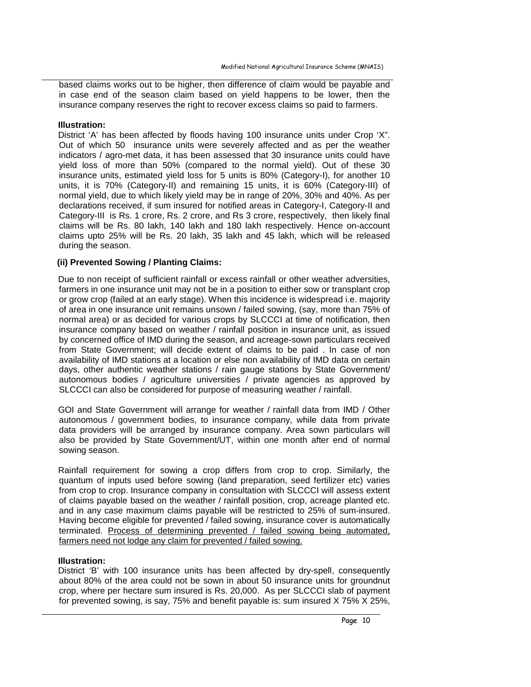based claims works out to be higher, then difference of claim would be payable and in case end of the season claim based on yield happens to be lower, then the insurance company reserves the right to recover excess claims so paid to farmers.

#### **Illustration:**

District 'A' has been affected by floods having 100 insurance units under Crop 'X". Out of which 50 insurance units were severely affected and as per the weather indicators / agro-met data, it has been assessed that 30 insurance units could have yield loss of more than 50% (compared to the normal yield). Out of these 30 insurance units, estimated yield loss for 5 units is 80% (Category-I), for another 10 units, it is 70% (Category-II) and remaining 15 units, it is 60% (Category-III) of normal yield, due to which likely yield may be in range of 20%, 30% and 40%. As per declarations received, if sum insured for notified areas in Category-I, Category-II and Category-III is Rs. 1 crore, Rs. 2 crore, and Rs 3 crore, respectively, then likely final claims will be Rs. 80 lakh, 140 lakh and 180 lakh respectively. Hence on-account claims upto 25% will be Rs. 20 lakh, 35 lakh and 45 lakh, which will be released during the season.

#### **(ii) Prevented Sowing / Planting Claims:**

Due to non receipt of sufficient rainfall or excess rainfall or other weather adversities, farmers in one insurance unit may not be in a position to either sow or transplant crop or grow crop (failed at an early stage). When this incidence is widespread i.e. majority of area in one insurance unit remains unsown / failed sowing, (say, more than 75% of normal area) or as decided for various crops by SLCCCI at time of notification, then insurance company based on weather / rainfall position in insurance unit, as issued by concerned office of IMD during the season, and acreage-sown particulars received from State Government; will decide extent of claims to be paid . In case of non availability of IMD stations at a location or else non availability of IMD data on certain days, other authentic weather stations / rain gauge stations by State Government/ autonomous bodies / agriculture universities / private agencies as approved by SLCCCI can also be considered for purpose of measuring weather / rainfall.

GOI and State Government will arrange for weather / rainfall data from IMD / Other autonomous / government bodies, to insurance company, while data from private data providers will be arranged by insurance company. Area sown particulars will also be provided by State Government/UT, within one month after end of normal sowing season.

Rainfall requirement for sowing a crop differs from crop to crop. Similarly, the quantum of inputs used before sowing (land preparation, seed fertilizer etc) varies from crop to crop. Insurance company in consultation with SLCCCI will assess extent of claims payable based on the weather / rainfall position, crop, acreage planted etc. and in any case maximum claims payable will be restricted to 25% of sum-insured. Having become eligible for prevented / failed sowing, insurance cover is automatically terminated. Process of determining prevented / failed sowing being automated, farmers need not lodge any claim for prevented / failed sowing.

#### **Illustration:**

District 'B' with 100 insurance units has been affected by dry-spell, consequently about 80% of the area could not be sown in about 50 insurance units for groundnut crop, where per hectare sum insured is Rs. 20,000. As per SLCCCI slab of payment for prevented sowing, is say, 75% and benefit payable is: sum insured X 75% X 25%,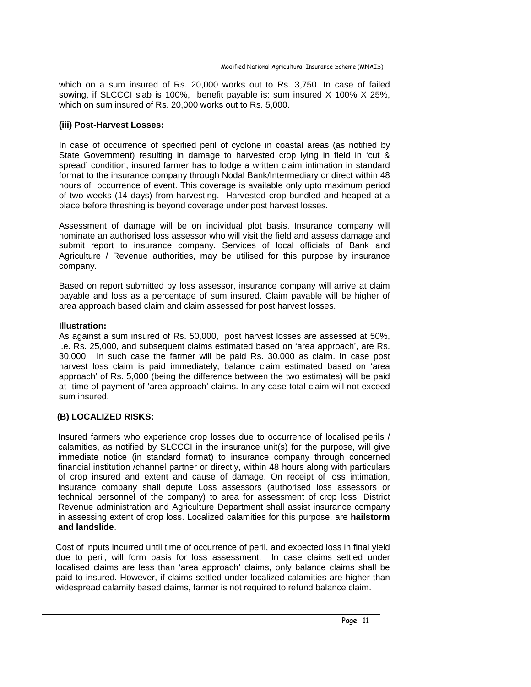which on a sum insured of Rs. 20,000 works out to Rs. 3,750. In case of failed sowing, if SLCCCI slab is 100%, benefit payable is: sum insured X 100% X 25%, which on sum insured of Rs. 20,000 works out to Rs. 5,000.

#### **(iii) Post-Harvest Losses:**

In case of occurrence of specified peril of cyclone in coastal areas (as notified by State Government) resulting in damage to harvested crop lying in field in 'cut & spread' condition, insured farmer has to lodge a written claim intimation in standard format to the insurance company through Nodal Bank/Intermediary or direct within 48 hours of occurrence of event. This coverage is available only upto maximum period of two weeks (14 days) from harvesting. Harvested crop bundled and heaped at a place before threshing is beyond coverage under post harvest losses.

Assessment of damage will be on individual plot basis. Insurance company will nominate an authorised loss assessor who will visit the field and assess damage and submit report to insurance company. Services of local officials of Bank and Agriculture / Revenue authorities, may be utilised for this purpose by insurance company.

Based on report submitted by loss assessor, insurance company will arrive at claim payable and loss as a percentage of sum insured. Claim payable will be higher of area approach based claim and claim assessed for post harvest losses.

#### **Illustration:**

As against a sum insured of Rs. 50,000, post harvest losses are assessed at 50%, i.e. Rs. 25,000, and subsequent claims estimated based on 'area approach', are Rs. 30,000. In such case the farmer will be paid Rs. 30,000 as claim. In case post harvest loss claim is paid immediately, balance claim estimated based on 'area approach' of Rs. 5,000 (being the difference between the two estimates) will be paid at time of payment of 'area approach' claims. In any case total claim will not exceed sum insured.

# **(B) LOCALIZED RISKS:**

Insured farmers who experience crop losses due to occurrence of localised perils / calamities, as notified by SLCCCI in the insurance unit(s) for the purpose, will give immediate notice (in standard format) to insurance company through concerned financial institution /channel partner or directly, within 48 hours along with particulars of crop insured and extent and cause of damage. On receipt of loss intimation, insurance company shall depute Loss assessors (authorised loss assessors or technical personnel of the company) to area for assessment of crop loss. District Revenue administration and Agriculture Department shall assist insurance company in assessing extent of crop loss. Localized calamities for this purpose, are **hailstorm and landslide**.

Cost of inputs incurred until time of occurrence of peril, and expected loss in final yield due to peril, will form basis for loss assessment. In case claims settled under localised claims are less than 'area approach' claims, only balance claims shall be paid to insured. However, if claims settled under localized calamities are higher than widespread calamity based claims, farmer is not required to refund balance claim.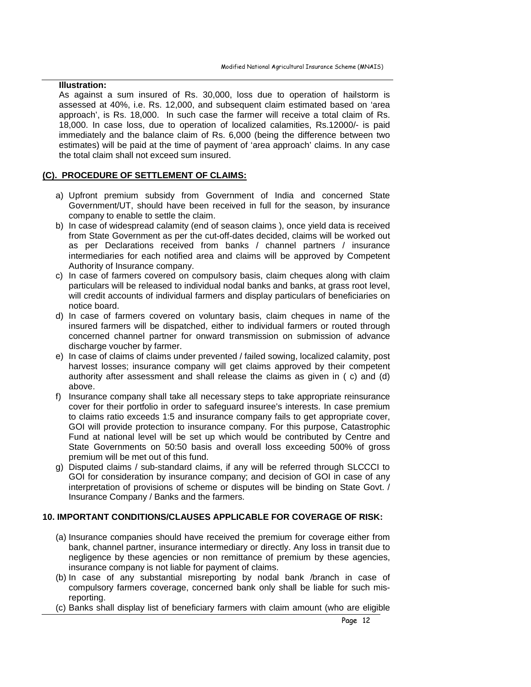#### **Illustration:**

As against a sum insured of Rs. 30,000, loss due to operation of hailstorm is assessed at 40%, i.e. Rs. 12,000, and subsequent claim estimated based on 'area approach', is Rs. 18,000. In such case the farmer will receive a total claim of Rs. 18,000. In case loss, due to operation of localized calamities, Rs.12000/- is paid immediately and the balance claim of Rs. 6,000 (being the difference between two estimates) will be paid at the time of payment of 'area approach' claims. In any case the total claim shall not exceed sum insured.

# **(C). PROCEDURE OF SETTLEMENT OF CLAIMS:**

- a) Upfront premium subsidy from Government of India and concerned State Government/UT, should have been received in full for the season, by insurance company to enable to settle the claim.
- b) In case of widespread calamity (end of season claims ), once yield data is received from State Government as per the cut-off-dates decided, claims will be worked out as per Declarations received from banks / channel partners / insurance intermediaries for each notified area and claims will be approved by Competent Authority of Insurance company.
- c) In case of farmers covered on compulsory basis, claim cheques along with claim particulars will be released to individual nodal banks and banks, at grass root level, will credit accounts of individual farmers and display particulars of beneficiaries on notice board.
- d) In case of farmers covered on voluntary basis, claim cheques in name of the insured farmers will be dispatched, either to individual farmers or routed through concerned channel partner for onward transmission on submission of advance discharge voucher by farmer.
- e) In case of claims of claims under prevented / failed sowing, localized calamity, post harvest losses; insurance company will get claims approved by their competent authority after assessment and shall release the claims as given in ( c) and (d) above.
- f) Insurance company shall take all necessary steps to take appropriate reinsurance cover for their portfolio in order to safeguard insuree's interests. In case premium to claims ratio exceeds 1:5 and insurance company fails to get appropriate cover, GOI will provide protection to insurance company. For this purpose, Catastrophic Fund at national level will be set up which would be contributed by Centre and State Governments on 50:50 basis and overall loss exceeding 500% of gross premium will be met out of this fund.
- g) Disputed claims / sub-standard claims, if any will be referred through SLCCCI to GOI for consideration by insurance company; and decision of GOI in case of any interpretation of provisions of scheme or disputes will be binding on State Govt. / Insurance Company / Banks and the farmers.

# **10. IMPORTANT CONDITIONS/CLAUSES APPLICABLE FOR COVERAGE OF RISK:**

- (a) Insurance companies should have received the premium for coverage either from bank, channel partner, insurance intermediary or directly. Any loss in transit due to negligence by these agencies or non remittance of premium by these agencies, insurance company is not liable for payment of claims.
- (b) In case of any substantial misreporting by nodal bank /branch in case of compulsory farmers coverage, concerned bank only shall be liable for such misreporting.
- (c) Banks shall display list of beneficiary farmers with claim amount (who are eligible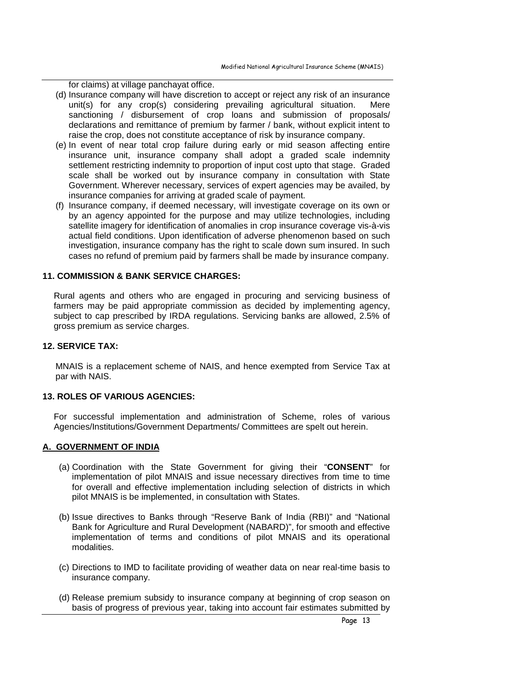for claims) at village panchayat office.

- (d) Insurance company will have discretion to accept or reject any risk of an insurance unit(s) for any crop(s) considering prevailing agricultural situation. Mere sanctioning / disbursement of crop loans and submission of proposals/ declarations and remittance of premium by farmer / bank, without explicit intent to raise the crop, does not constitute acceptance of risk by insurance company.
- (e) In event of near total crop failure during early or mid season affecting entire insurance unit, insurance company shall adopt a graded scale indemnity settlement restricting indemnity to proportion of input cost upto that stage. Graded scale shall be worked out by insurance company in consultation with State Government. Wherever necessary, services of expert agencies may be availed, by insurance companies for arriving at graded scale of payment.
- (f) Insurance company, if deemed necessary, will investigate coverage on its own or by an agency appointed for the purpose and may utilize technologies, including satellite imagery for identification of anomalies in crop insurance coverage vis-à-vis actual field conditions. Upon identification of adverse phenomenon based on such investigation, insurance company has the right to scale down sum insured. In such cases no refund of premium paid by farmers shall be made by insurance company.

#### **11. COMMISSION & BANK SERVICE CHARGES:**

Rural agents and others who are engaged in procuring and servicing business of farmers may be paid appropriate commission as decided by implementing agency, subject to cap prescribed by IRDA regulations. Servicing banks are allowed, 2.5% of gross premium as service charges.

#### **12. SERVICE TAX:**

MNAIS is a replacement scheme of NAIS, and hence exempted from Service Tax at par with NAIS.

# **13. ROLES OF VARIOUS AGENCIES:**

For successful implementation and administration of Scheme, roles of various Agencies/Institutions/Government Departments/ Committees are spelt out herein.

#### **A. GOVERNMENT OF INDIA**

- (a) Coordination with the State Government for giving their "**CONSENT**" for implementation of pilot MNAIS and issue necessary directives from time to time for overall and effective implementation including selection of districts in which pilot MNAIS is be implemented, in consultation with States.
- (b) Issue directives to Banks through "Reserve Bank of India (RBI)" and "National Bank for Agriculture and Rural Development (NABARD)", for smooth and effective implementation of terms and conditions of pilot MNAIS and its operational modalities.
- (c) Directions to IMD to facilitate providing of weather data on near real-time basis to insurance company.
- (d) Release premium subsidy to insurance company at beginning of crop season on basis of progress of previous year, taking into account fair estimates submitted by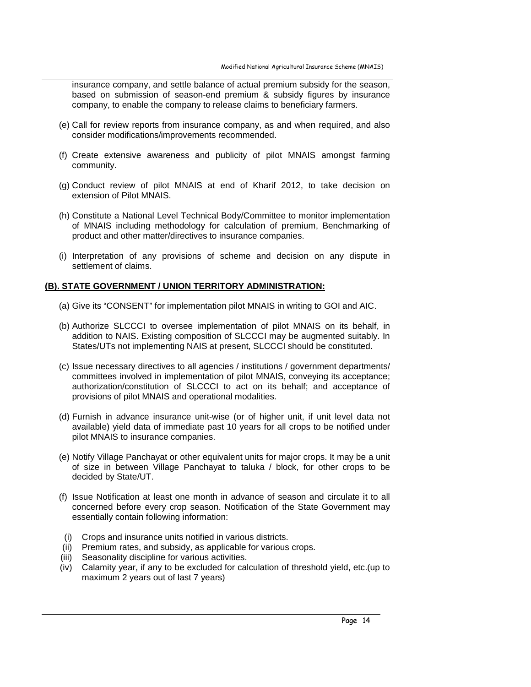insurance company, and settle balance of actual premium subsidy for the season, based on submission of season-end premium & subsidy figures by insurance company, to enable the company to release claims to beneficiary farmers.

- (e) Call for review reports from insurance company, as and when required, and also consider modifications/improvements recommended.
- (f) Create extensive awareness and publicity of pilot MNAIS amongst farming community.
- (g) Conduct review of pilot MNAIS at end of Kharif 2012, to take decision on extension of Pilot MNAIS.
- (h) Constitute a National Level Technical Body/Committee to monitor implementation of MNAIS including methodology for calculation of premium, Benchmarking of product and other matter/directives to insurance companies.
- (i) Interpretation of any provisions of scheme and decision on any dispute in settlement of claims.

# **(B). STATE GOVERNMENT / UNION TERRITORY ADMINISTRATION:**

- (a) Give its "CONSENT" for implementation pilot MNAIS in writing to GOI and AIC.
- (b) Authorize SLCCCI to oversee implementation of pilot MNAIS on its behalf, in addition to NAIS. Existing composition of SLCCCI may be augmented suitably. In States/UTs not implementing NAIS at present, SLCCCI should be constituted.
- (c) Issue necessary directives to all agencies / institutions / government departments/ committees involved in implementation of pilot MNAIS, conveying its acceptance; authorization/constitution of SLCCCI to act on its behalf; and acceptance of provisions of pilot MNAIS and operational modalities.
- (d) Furnish in advance insurance unit-wise (or of higher unit, if unit level data not available) yield data of immediate past 10 years for all crops to be notified under pilot MNAIS to insurance companies.
- (e) Notify Village Panchayat or other equivalent units for major crops. It may be a unit of size in between Village Panchayat to taluka / block, for other crops to be decided by State/UT.
- (f) Issue Notification at least one month in advance of season and circulate it to all concerned before every crop season. Notification of the State Government may essentially contain following information:
- (i) Crops and insurance units notified in various districts.
- (ii) Premium rates, and subsidy, as applicable for various crops.
- (iii) Seasonality discipline for various activities.
- (iv) Calamity year, if any to be excluded for calculation of threshold yield, etc.(up to maximum 2 years out of last 7 years)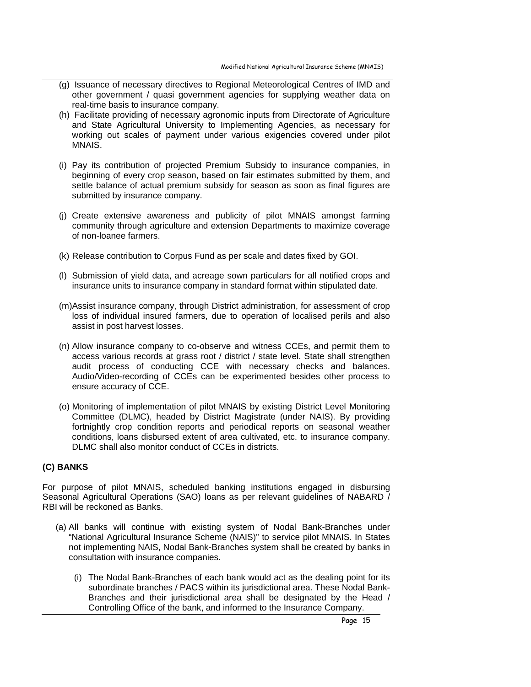- (g) Issuance of necessary directives to Regional Meteorological Centres of IMD and other government / quasi government agencies for supplying weather data on real-time basis to insurance company.
- (h) Facilitate providing of necessary agronomic inputs from Directorate of Agriculture and State Agricultural University to Implementing Agencies, as necessary for working out scales of payment under various exigencies covered under pilot MNAIS.
- (i) Pay its contribution of projected Premium Subsidy to insurance companies, in beginning of every crop season, based on fair estimates submitted by them, and settle balance of actual premium subsidy for season as soon as final figures are submitted by insurance company.
- (j) Create extensive awareness and publicity of pilot MNAIS amongst farming community through agriculture and extension Departments to maximize coverage of non-loanee farmers.
- (k) Release contribution to Corpus Fund as per scale and dates fixed by GOI.
- (l) Submission of yield data, and acreage sown particulars for all notified crops and insurance units to insurance company in standard format within stipulated date.
- (m)Assist insurance company, through District administration, for assessment of crop loss of individual insured farmers, due to operation of localised perils and also assist in post harvest losses.
- (n) Allow insurance company to co-observe and witness CCEs, and permit them to access various records at grass root / district / state level. State shall strengthen audit process of conducting CCE with necessary checks and balances. Audio/Video-recording of CCEs can be experimented besides other process to ensure accuracy of CCE.
- (o) Monitoring of implementation of pilot MNAIS by existing District Level Monitoring Committee (DLMC), headed by District Magistrate (under NAIS). By providing fortnightly crop condition reports and periodical reports on seasonal weather conditions, loans disbursed extent of area cultivated, etc. to insurance company. DLMC shall also monitor conduct of CCEs in districts.

# **(C) BANKS**

For purpose of pilot MNAIS, scheduled banking institutions engaged in disbursing Seasonal Agricultural Operations (SAO) loans as per relevant guidelines of NABARD / RBI will be reckoned as Banks.

- (a) All banks will continue with existing system of Nodal Bank-Branches under "National Agricultural Insurance Scheme (NAIS)" to service pilot MNAIS. In States not implementing NAIS, Nodal Bank-Branches system shall be created by banks in consultation with insurance companies.
	- (i) The Nodal Bank-Branches of each bank would act as the dealing point for its subordinate branches / PACS within its jurisdictional area. These Nodal Bank-Branches and their jurisdictional area shall be designated by the Head / Controlling Office of the bank, and informed to the Insurance Company.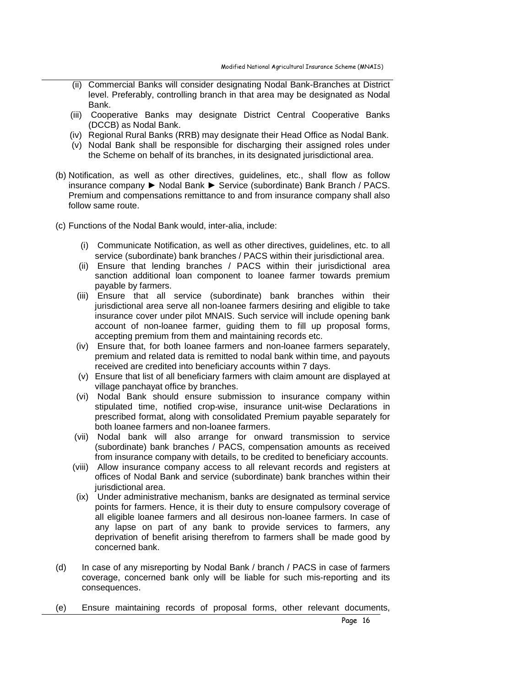- (ii) Commercial Banks will consider designating Nodal Bank-Branches at District level. Preferably, controlling branch in that area may be designated as Nodal Bank.
- (iii) Cooperative Banks may designate District Central Cooperative Banks (DCCB) as Nodal Bank.
- (iv) Regional Rural Banks (RRB) may designate their Head Office as Nodal Bank.
- (v) Nodal Bank shall be responsible for discharging their assigned roles under the Scheme on behalf of its branches, in its designated jurisdictional area.
- (b) Notification, as well as other directives, guidelines, etc., shall flow as follow insurance company ► Nodal Bank ► Service (subordinate) Bank Branch / PACS. Premium and compensations remittance to and from insurance company shall also follow same route.
- (c) Functions of the Nodal Bank would, inter-alia, include:
	- (i) Communicate Notification, as well as other directives, guidelines, etc. to all service (subordinate) bank branches / PACS within their jurisdictional area.
	- (ii) Ensure that lending branches / PACS within their jurisdictional area sanction additional loan component to loanee farmer towards premium payable by farmers.
	- (iii) Ensure that all service (subordinate) bank branches within their jurisdictional area serve all non-loanee farmers desiring and eligible to take insurance cover under pilot MNAIS. Such service will include opening bank account of non-loanee farmer, guiding them to fill up proposal forms, accepting premium from them and maintaining records etc.
	- (iv) Ensure that, for both loanee farmers and non-loanee farmers separately, premium and related data is remitted to nodal bank within time, and payouts received are credited into beneficiary accounts within 7 days.
	- (v) Ensure that list of all beneficiary farmers with claim amount are displayed at village panchayat office by branches.
	- (vi) Nodal Bank should ensure submission to insurance company within stipulated time, notified crop-wise, insurance unit-wise Declarations in prescribed format, along with consolidated Premium payable separately for both loanee farmers and non-loanee farmers.
	- (vii) Nodal bank will also arrange for onward transmission to service (subordinate) bank branches / PACS, compensation amounts as received from insurance company with details, to be credited to beneficiary accounts.
	- (viii) Allow insurance company access to all relevant records and registers at offices of Nodal Bank and service (subordinate) bank branches within their jurisdictional area.
	- (ix) Under administrative mechanism, banks are designated as terminal service points for farmers. Hence, it is their duty to ensure compulsory coverage of all eligible loanee farmers and all desirous non-loanee farmers. In case of any lapse on part of any bank to provide services to farmers, any deprivation of benefit arising therefrom to farmers shall be made good by concerned bank.
- (d) In case of any misreporting by Nodal Bank / branch / PACS in case of farmers coverage, concerned bank only will be liable for such mis-reporting and its consequences.
- (e) Ensure maintaining records of proposal forms, other relevant documents,